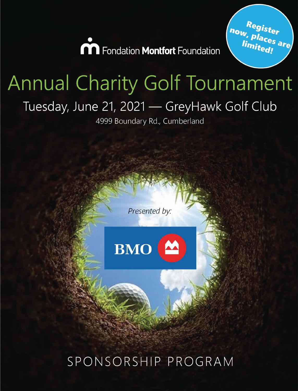

Regist<sub>er</sub><br>', pl. n<sub>ow,</sub> Regist<sub>er</sub><br>Iimit<sub>ed!</sub><br>Iimit<sub>ed!</sub> *limited!* 

# **Annual Charity Golf Tournament** Tuesday, June 21, 2021 - GreyHawk Golf Club

4999 Boundary Rd., Cumberland

*Presented by:* 



SPONSORSHIP PROGRAM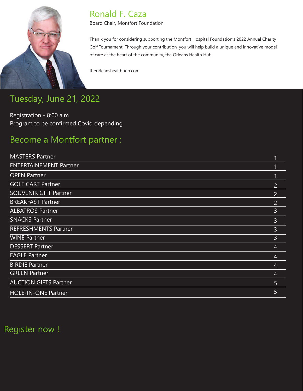

### Ronald F. Caza

Board Chair, Montfort Foundation

Than k you for considering supporting the Montfort Hospital Foundation's 2022 Annual Charity Golf Tournament. Through your contribution, you will help build a unique and innovative model of care at the heart of the community, the Orléans Health Hub.

theorleanshealthhub.com

# Tuesday, June 21, 2022

Registration - 8:00 a.m Program to be confirmed Covid depending

# Become a Montfort partner :

| <b>ENTERTAINEMENT Partner</b><br><b>OPEN Partner</b><br><b>GOLF CART Partner</b><br>$\overline{2}$<br><b>SOUVENIR GIFT Partner</b><br>$\overline{2}$<br><b>BREAKFAST Partner</b><br>$\overline{2}$<br>3<br><b>ALBATROS Partner</b><br><b>SNACKS Partner</b><br>3<br><b>REFRESHMENTS Partner</b><br>3<br><b>WINE Partner</b><br>3<br><b>DESSERT Partner</b><br>$\overline{4}$<br><b>EAGLE Partner</b><br>4<br><b>BIRDIE Partner</b><br>4<br><b>GREEN Partner</b><br>$\overline{4}$<br><b>AUCTION GIFTS Partner</b><br>5<br>5<br><b>HOLE-IN-ONE Partner</b> | <b>MASTERS Partner</b> |  |
|-----------------------------------------------------------------------------------------------------------------------------------------------------------------------------------------------------------------------------------------------------------------------------------------------------------------------------------------------------------------------------------------------------------------------------------------------------------------------------------------------------------------------------------------------------------|------------------------|--|
|                                                                                                                                                                                                                                                                                                                                                                                                                                                                                                                                                           |                        |  |
|                                                                                                                                                                                                                                                                                                                                                                                                                                                                                                                                                           |                        |  |
|                                                                                                                                                                                                                                                                                                                                                                                                                                                                                                                                                           |                        |  |
|                                                                                                                                                                                                                                                                                                                                                                                                                                                                                                                                                           |                        |  |
|                                                                                                                                                                                                                                                                                                                                                                                                                                                                                                                                                           |                        |  |
|                                                                                                                                                                                                                                                                                                                                                                                                                                                                                                                                                           |                        |  |
|                                                                                                                                                                                                                                                                                                                                                                                                                                                                                                                                                           |                        |  |
|                                                                                                                                                                                                                                                                                                                                                                                                                                                                                                                                                           |                        |  |
|                                                                                                                                                                                                                                                                                                                                                                                                                                                                                                                                                           |                        |  |
|                                                                                                                                                                                                                                                                                                                                                                                                                                                                                                                                                           |                        |  |
|                                                                                                                                                                                                                                                                                                                                                                                                                                                                                                                                                           |                        |  |
|                                                                                                                                                                                                                                                                                                                                                                                                                                                                                                                                                           |                        |  |
|                                                                                                                                                                                                                                                                                                                                                                                                                                                                                                                                                           |                        |  |
|                                                                                                                                                                                                                                                                                                                                                                                                                                                                                                                                                           |                        |  |
|                                                                                                                                                                                                                                                                                                                                                                                                                                                                                                                                                           |                        |  |

# Register now !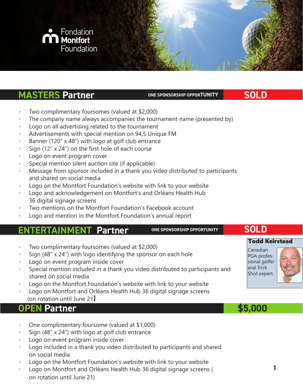

#### **MASTERS Partner CONEX SPONSORSHIP OPPORTUNITY**

**SOLD**

- Two complimentary foursomes (valued at \$2,000)
- The company name always accompanies the tournament name (presented by)
- Logo on all advertising related to the tournament
- Advertisements with special mention on 94,5 Unique FM
- Banner (120" x 48") with logo at golf club entrance
- Sign (12"  $\times$  24") on the first hole of each course
- Logo on event program cover
- Special mention silent auction site (if applicable)
- Message from sponsor included in a thank you video distributed to participants and shared on social media
- Logo on the Montfort Foundation's website with link to your website
- Logo and acknowledgement on Montfort's and Orléans Health Hub 36 digital signage screens
- Two mentions on the Montfort Foundation's Facebook account
- Logo and mention in the Montfort Foundation's annual report

#### **• ENTERTAINMENT Partner**

**ONE SPONSORSHIP OPPORTUNITY**

#### Todd Keirstead

Two complimentary foursomes (valued at \$2,000)

- Sign (48" x 24") with logo identifying the sponsor on each hole
- Logo on event program inside cover
- Special mention included in a thank you video distributed to participants and shared on social media
- Logo on the Montfort Foundation's website with link to your website
- Logo on Montfort and Orléans Health Hub 36 digital signage screens (on rotation until June 21**)**

#### **PEN Partner**

- One complimentary foursome (valued at \$1,000)
- Sign  $(48" \times 24")$  with logo at golf club entrance
- Logo on event program inside cover
- Logo included in a thank you video distributed to participants and shared on social media
- Logo on the Montfort Foundation's website with link to your website
- Logo on Montfort and Orléans Health Hub 36 digital signage screens ( on rotation until June 21)



**SOLD**



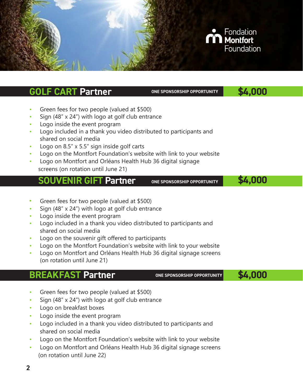

- Green fees for two people (valued at \$500)
- Sign  $(48" \times 24")$  with logo at golf club entrance
- Logo inside the event program
- Logo included in a thank you video distributed to participants and shared on social media
- Logo on 8.5" x 5.5" sign inside golf carts
- Logo on the Montfort Foundation's website with link to your website
- Logo on Montfort and Orléans Health Hub 36 digital signage screens (on rotation until June 21)

#### **ONE SPONSORSHIP OPPORTUNITY SOUVENIR GIFT Partner**

- **\$4,000**
- **•** Green fees for two people (valued at \$500)
- Sign  $(48" \times 24")$  with logo at golf club entrance
- Logo inside the event program
- Logo included in a thank you video distributed to participants and shared on social media
- Logo on the souvenir gift offered to participants
- Logo on the Montfort Foundation's website with link to your website
- Logo on Montfort and Orléans Health Hub 36 digital signage screens (on rotation until June 21)

#### **BREAKFAST Partner**

**ONE SPONSORSHIP OPPORTUNITY**

**\$4,000**

- Green fees for two people (valued at \$500)
- Sign (48" x 24") with logo at golf club entrance
- Logo on breakfast boxes
- Logo inside the event program
- Logo included in a thank you video distributed to participants and shared on social media
- Logo on the Montfort Foundation's website with link to your website
- Logo on Montfort and Orléans Health Hub 36 digital signage screens (on rotation until June 22)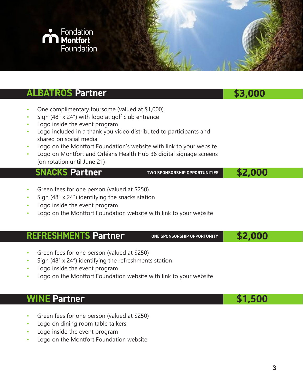

**SNACKS Partner**

**TWO SPONSORSHIP OPPORTUNITIES**

 **\$2,000**

- Green fees for one person (valued at \$250)
- Sign (48" x 24") identifying the snacks station
- Logo inside the event program
- Logo on the Montfort Foundation website with link to your website

#### **REFRESHMENTS Partner**

**ONE SPONSORSHIP OPPORTUNITY**

 **\$2,000**

 **\$1,500**

- Green fees for one person (valued at \$250)
- Sign (48" x 24") identifying the refreshments station
- Logo inside the event program
- Logo on the Montfort Foundation website with link to your website

#### **WINE Partner**

- Green fees for one person (valued at \$250)
- Logo on dining room table talkers
- Logo inside the event program
- Logo on the Montfort Foundation website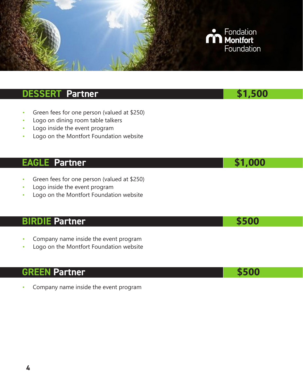

# **DESSERT Partner 1988 \$1,500**

- Green fees for one person (valued at \$250)
- Logo on dining room table talkers
- Logo inside the event program
- Logo on the Montfort Foundation website

#### **EAGLE Partner 1999 \$1,000**

- Green fees for one person (valued at \$250)
- Logo inside the event program
- Logo on the Montfort Foundation website

#### **BIRDIE Partner 1999 1999 1999 1999 1999 1999 1999 1999 1999 1999 1999 1999 1999 1999 1999**

- Company name inside the event program
- Logo on the Montfort Foundation website

#### **GREEN Partner \$500**

• Company name inside the event program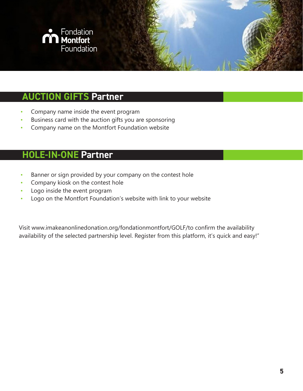

### **AUCTION GIFTS Partner**

- Company name inside the event program
- Business card with the auction gifts you are sponsoring
- Company name on the Montfort Foundation website

### **HOLE-IN-ONE Partner**

- Banner or sign provided by your company on the contest hole
- Company kiosk on the contest hole
- Logo inside the event program
- Logo on the Montfort Foundation's website with link to your website

Visit www.imakeanonlinedonation.org/fondationmontfort/GOLF/to confirm the availability availability of the selected partnership level. Register from this platform, it's quick and easy!"